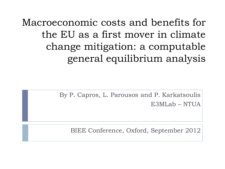Macroeconomic costs and benefits for the EU as a first mover in climate change mitigation: a computable general equilibrium analysis

> By P. Capros, L. Parousos and P. Karkatsoulis E3MLab – NTUA

BIEE Conference, Oxford, September 2012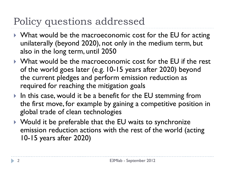# Policy questions addressed

- ▶ What would be the macroeconomic cost for the EU for acting unilaterally (beyond 2020), not only in the medium term, but also in the long term, until 2050
- ▶ What would be the macroeconomic cost for the EU if the rest of the world goes later (e.g. 10-15 years after 2020) beyond the current pledges and perform emission reduction as required for reaching the mitigation goals
- In this case, would it be a benefit for the EU stemming from the first move, for example by gaining a competitive position in global trade of clean technologies
- ▶ Would it be preferable that the EU waits to synchronize emission reduction actions with the rest of the world (acting 10-15 years after 2020)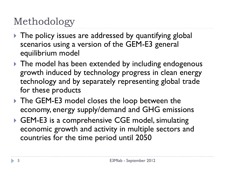# Methodology

- ▶ The policy issues are addressed by quantifying global scenarios using a version of the GEM-E3 general equilibrium model
- The model has been extended by including endogenous growth induced by technology progress in clean energy technology and by separately representing global trade for these products
- ▶ The GEM-E3 model closes the loop between the economy, energy supply/demand and GHG emissions
- ▶ GEM-E3 is a comprehensive CGE model, simulating economic growth and activity in multiple sectors and countries for the time period until 2050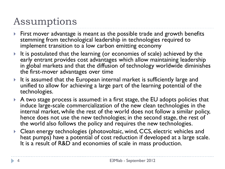# Assumptions

- ▶ First mover advantage is meant as the possible trade and growth benefits stemming from technological leadership in technologies required to implement transition to a low carbon emitting economy
- It is postulated that the learning (or economies of scale) achieved by the early entrant provides cost advantages which allow maintaining leadership in global markets and that the diffusion of technology worldwide diminishes the first-mover advantages over time
- It is assumed that the European internal market is sufficiently large and unified to allow for achieving a large part of the learning potential of the technologies.
- A two stage process is assumed: in a first stage, the EU adopts policies that induce large-scale commercialization of the new clean technologies in the internal market, while the rest of the world does not follow a similar policy, hence does not use the new technologies; in the second stage, the rest of the world also follows the policy and requires the new technologies.
- ▶ Clean energy technologies (photovoltaic, wind, CCS, electric vehicles and heat pumps) have a potential of cost reduction if developed at a large scale. It is a result of R&D and economies of scale in mass production.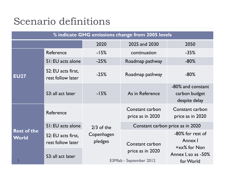## Scenario definitions

| % indicate GHG emissions change from 2005 levels |                                         |                       |                                             |                                                     |  |  |  |  |  |  |
|--------------------------------------------------|-----------------------------------------|-----------------------|---------------------------------------------|-----------------------------------------------------|--|--|--|--|--|--|
|                                                  |                                         | 2020                  | 2025 and 2030                               | 2050                                                |  |  |  |  |  |  |
|                                                  | Reference                               | $-15%$                | continuation                                | $-35%$                                              |  |  |  |  |  |  |
|                                                  | SI: EU acts alone                       | $-25%$                | Roadmap pathway                             | $-80%$                                              |  |  |  |  |  |  |
| <b>EU27</b>                                      | S2: EU acts first,<br>rest follow later | $-25%$                | Roadmap pathway                             | $-80\%$                                             |  |  |  |  |  |  |
|                                                  | S3: all act later                       | $-15%$                | As in Reference                             | -80% and constant<br>carbon budget<br>despite delay |  |  |  |  |  |  |
|                                                  | Reference                               |                       | Constant carbon<br>price as in 2020         | Constant carbon<br>price as in 2020                 |  |  |  |  |  |  |
|                                                  | SI: EU acts alone                       | $2/3$ of the          |                                             | Constant carbon price as in 2020                    |  |  |  |  |  |  |
| <b>Rest of the</b><br>World<br>5                 | S2: EU acts first,<br>rest follow later | Copenhagen<br>pledges | Constant carbon                             | -80% for rest of<br>Annex I<br>+xx% for Non         |  |  |  |  |  |  |
|                                                  | S3: all act later                       |                       | price as in 2020<br>E3Mlab - September 2012 | Annex I, so as -50%<br>for World                    |  |  |  |  |  |  |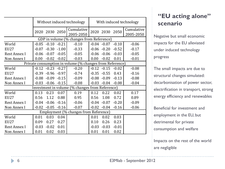|                     |                                                          | ™E∪ a                   |                         |         |                         |                       |
|---------------------|----------------------------------------------------------|-------------------------|-------------------------|---------|-------------------------|-----------------------|
|                     | Without induced technology                               |                         | With induced technology | scenar  |                         |                       |
|                     | 2020 2030 2050                                           | Cumulative<br>2005-2050 | 2020 2030 2050          |         | Cumulative<br>2005-2050 | Negative but          |
|                     |                                                          |                         |                         |         |                         |                       |
| World               | $-0.05$ $-0.10$ $-0.21$                                  | $-0.10$                 | $-0.04 - 0.07$          | $-0.10$ | $-0.06$                 | impacts for t         |
| <b>EU27</b>         | $-0.07 -0.30 -1.00$                                      | $-0.33$                 | $-0.06 - 0.20$          | $-0.52$ | $-0.17$                 | under induce          |
| <b>Rest Annex I</b> | $-0.06$ $-0.07$ $-0.05$                                  | $-0.05$                 | $-0.06 - 0.06$          | $-0.03$ | $-0.05$                 |                       |
| Non Annex I         | $-0.02 -0.02$<br>0.00                                    | $-0.03$                 | 0.00<br>$-0.02$         | 0.01    | $-0.01$                 | progress              |
|                     | Private consumption in volume (% changes from Reference) |                         |                         |         |                         |                       |
| World               | $-0.12$ $-0.23$ $-0.27$                                  | $-0.20$                 | $-0.12 - 0.15$          | $-0.02$ | $-0.08$                 | The small im          |
| <b>EU27</b>         | $-0.39 -0.96 -0.97$                                      | $-0.74$                 | $-0.35 - 0.55$          | 0.43    | $-0.16$                 |                       |
| <b>Rest Annex I</b> | $-0.08$ $-0.09$ $-0.15$                                  | $-0.09$                 | $-0.08 - 0.09$          | $-0.13$ | $-0.08$                 | structural ch         |
| Non Annex I         | $-0.03 - 0.06 - 0.15$                                    | $-0.08$                 | $-0.03 - 0.04 - 0.08$   |         | $-0.04$                 | decarbonisat          |
|                     | Investment in volume (% changes from Reference)          |                         |                         |         |                         | electrification       |
| World               | 0.07<br>0.13<br>0.23                                     | 0.19                    | 0.12<br>0.22            | 0.02    | 0.17                    |                       |
| <b>EU27</b>         | 0.56<br>1.12<br>0.88                                     | 0.95                    | 1.08<br>0.56            | 0.72    | 0.89                    | energy efficie        |
| <b>Rest Annex I</b> | $-0.04$<br>$-0.06$<br>$-0.16$                            | $-0.06$                 | $-0.04 - 0.07$          | $-0.20$ | $-0.09$                 |                       |
| Non Annex I         | $-0.02$<br>$-0.05$<br>$-0.16$                            | $-0.07$                 | $-0.02 - 0.04$          | $-0.16$ | $-0.06$                 | <b>Beneficial</b> for |
|                     | Employment (% changes from Reference)                    |                         |                         |         |                         |                       |
| World               | 0.01<br>0.03<br>0.04                                     |                         | 0.01<br>0.02            | 0.03    |                         | employment            |
| <b>EU27</b>         | 0.27<br>0.27<br>0.09                                     |                         | 0.26<br>0.10            | 0.23    |                         | detrimental f         |
| Rest Annex I        | $-0.03$<br>$-0.02$<br>0.01                               |                         | $-0.03$<br>$-0.03$      | $-0.01$ |                         |                       |
| Non Annex I         | 0.01<br>0.02<br>0.03                                     |                         | 0.01<br>0.01            | 0.02    |                         | consumption           |
|                     |                                                          |                         |                         |         |                         |                       |
|                     |                                                          |                         |                         |         |                         | Impacts on th         |
|                     |                                                          |                         |                         |         |                         |                       |
|                     |                                                          |                         |                         |         |                         | are negligible        |

#### **"EU acting alone" scenario**

Negative but small economic impacts for the EU alleviated under induced technology progress

The small impacts are due to structural changes simulated: decarbonisation of power sector, electrification in transport, strong energy efficiency and renewables

Beneficial for investment and employment in the EU, but detrimental for private consumption and welfare

Impacts on the rest of the world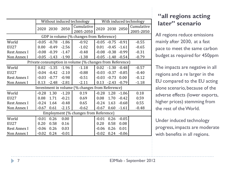|                                                 | Without induced technology |                                          |         |            | With induced technology                                  |            |  |  |  |
|-------------------------------------------------|----------------------------|------------------------------------------|---------|------------|----------------------------------------------------------|------------|--|--|--|
|                                                 |                            |                                          |         | Cumulative |                                                          | Cumulative |  |  |  |
|                                                 |                            | 2020 2030                                | 2050    | 2005-2050  | 2020 2030 2050                                           | 2005-2050  |  |  |  |
|                                                 |                            | GDP in volume (% changes from Reference) |         |            |                                                          |            |  |  |  |
| World                                           | $-0.05 -0.78$              |                                          | $-1.86$ | $-0.92$    | $-0.05$ $-0.75$ $-0.91$                                  | $-0.55$    |  |  |  |
| <b>EU27</b>                                     | 0.00                       | $-0.49$                                  | $-2.56$ | $-1.02$    | 0.01<br>$-0.45 -1.61$                                    | $-0.65$    |  |  |  |
| <b>Rest Annex I</b>                             | $-0.08$                    | $-0.39$                                  | $-1.47$ | $-0.48$    | $-0.08$ $-0.38$ $-0.99$                                  | $-0.31$    |  |  |  |
| Non Annex I                                     | $-0.05 -1.43$              |                                          | $-1.90$ | $-1.38$    | $-0.05 -1.40$<br>$-0.54$                                 | $-0.79$    |  |  |  |
|                                                 |                            |                                          |         |            | Private consumption in volume (% changes from Reference) |            |  |  |  |
| World                                           | 0.02                       | $-1.35$                                  | $-1.96$ | $-1.18$    | 0.02<br>$-1.30 - 0.48$                                   | $-0.57$    |  |  |  |
| <b>EU27</b>                                     | $-0.04$                    | $-0.42$                                  | $-2.10$ | $-0.88$    | $-0.37$<br>$-0.85$<br>$-0.03$                            | $-0.40$    |  |  |  |
| <b>Rest Annex I</b>                             | $-0.03$                    | $-0.77$                                  | $-0.98$ | $-0.51$    | $-0.73$<br>0.00<br>$-0.03$                               | $-0.12$    |  |  |  |
| Non Annex I                                     | 0.13                       | $-2.48$                                  | $-2.81$ | $-2.11$    | $-2.43$<br>0.13<br>$-0.79$                               | $-1.18$    |  |  |  |
| Investment in volume (% changes from Reference) |                            |                                          |         |            |                                                          |            |  |  |  |
| World                                           | $-0.28$                    | 1.30                                     | $-1.20$ | 0.19       | 1.28<br>$-0.28$<br>$-1.06$                               | 0.18       |  |  |  |
| <b>EU27</b>                                     | 0.08                       | 1.71                                     | $-0.21$ | 0.69       | 0.08<br>1.70<br>$-0.42$                                  | 0.59       |  |  |  |
| <b>Rest Annex I</b>                             | $-0.24$                    | 1.64                                     | $-0.48$ | 0.65       | $-0.24$<br>1.63<br>$-0.68$                               | 0.55       |  |  |  |
| Non Annex I                                     | $-0.67$                    | 0.61                                     | $-2.15$ | $-0.62$    | 0.60<br>$-0.67$<br>$-1.61$                               | $-0.48$    |  |  |  |
| Employment (% changes from Reference)           |                            |                                          |         |            |                                                          |            |  |  |  |
| World                                           | $-0.01$                    | 0.26                                     | 0.00    |            | $-0.05$<br>$-0.01$<br>0.26                               |            |  |  |  |
| <b>EU27</b>                                     | 0.20                       | 0.58                                     | 0.16    |            | 0.20<br>0.58<br>0.08                                     |            |  |  |  |
| <b>Rest Annex I</b>                             | $-0.06$                    | 0.26                                     | 0.03    |            | 0.26<br>0.01<br>$-0.06$                                  |            |  |  |  |
| Non Annex I                                     | $-0.02$                    | 0.24                                     | $-0.01$ |            | 0.24<br>$-0.02$<br>$-0.06$                               |            |  |  |  |

#### **"all regions acting later" scenario**

All regions reduce emissions mainly after 2030, at a fast pace to meet the same carbon budget as required for 450ppm

The impacts are negative in all regions and a re larger in the EU compared to the EU acting alone scenario, because of the adverse effects (lower exports, higher prices) stemming from the rest of the World.

Under induced technology progress, impacts are moderate with benefits in all regions.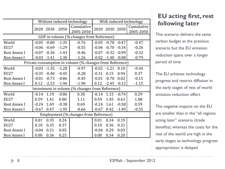|                     |                            |                |                         |                                                          |         |                    |                         |                         | $\blacksquare$ accurations |
|---------------------|----------------------------|----------------|-------------------------|----------------------------------------------------------|---------|--------------------|-------------------------|-------------------------|----------------------------|
|                     | Without induced technology |                |                         |                                                          |         |                    |                         | With induced technology | <b>following later</b>     |
|                     |                            | 2020 2030      | 2050                    | Cumulative                                               |         |                    | 2020 2030 2050          | Cumulative              |                            |
|                     |                            |                |                         | 2005-2050                                                |         |                    |                         | 2005-2050               | This scenario delivers th  |
|                     |                            |                |                         | GDP in volume (% changes from Reference)                 |         |                    |                         |                         |                            |
| World               |                            | $-0.05 - 0.80$ | $-1.35$                 | $-0.76$                                                  |         |                    | $-0.05$ $-0.78$ $-0.47$ | $-0.47$                 | carbon budget as the pr    |
| <b>EU27</b>         |                            | $-0.06 - 0.69$ | $-1.29$                 | $-0.55$                                                  |         |                    | $-0.04$ $-0.70$ $-0.34$ | $-0.26$                 | scenario but the EU em     |
| <b>Rest Annex I</b> |                            | $-0.07 -0.36$  | $-1.43$                 | $-0.46$                                                  |         |                    | $-0.07 -0.32 -0.99$     | $-0.32$                 | reduction spans over a l   |
| Non Annex I         |                            | $-0.03 -1.41$  | $-1.30$                 | $-1.26$                                                  |         |                    | $-0.02 -1.40 -0.08$     | $-0.79$                 |                            |
|                     |                            |                |                         | Private consumption in volume (% changes from Reference) |         |                    |                         |                         | period of time             |
| World               |                            |                | $-0.03$ $-1.35$ $-1.28$ | $-0.97$                                                  |         | $-0.02 -1.21$ 0.10 |                         | $-0.44$                 |                            |
| <b>EU27</b>         |                            | $-0.35 - 0.40$ | $-0.45$                 | $-0.28$                                                  |         | $-0.31$ 0.15       | 0.94                    | 0.37                    | The EU achieves techno     |
| <b>Rest Annex I</b> |                            | $-0.01 - 0.73$ | $-0.86$                 | $-0.45$                                                  |         | $-0.01 - 0.70$     | 0.02                    | $-0.15$                 | progress and restrict dif  |
| Non Annex I         |                            | $0.12 - 2.53$  | $-1.96$                 | $-1.90$                                                  |         |                    | $0.12 -2.45 -0.12$      | $-1.15$                 |                            |
|                     |                            |                |                         | Investment in volume (% changes from Reference)          |         |                    |                         |                         | the early stages of rest   |
| World               | $-0.14$ 1.19               |                | $-0.86$                 | 0.30                                                     |         |                    | $-0.14$ 1.15 $-0.74$    | 0.29                    | emission reduction effor   |
| <b>EU27</b>         | 0.59                       | 1.41           | 0.80                    | 1.11                                                     | 0.59    | 1.45               | 0.63                    | 1.08                    |                            |
| <b>Rest Annex I</b> | $-0.24$                    | 1.69           | $-0.38$                 | 0.69                                                     | $-0.24$ | 1.61               | $-0.58$                 | 0.59                    | The negative impacts or    |
| Non Annex I         | $-0.67$                    | 0.47           | $-1.95$                 | $-0.66$                                                  | $-0.67$ | 0.42               | $-1.49$                 | $-0.55$                 |                            |
|                     |                            |                |                         | Employment (% changes from Reference)                    |         |                    |                         |                         | are smaller than in the "  |
| World               | 0.01                       | 0.35           | 0.24                    |                                                          | 0.01    | 0.34               | 0.19                    |                         | acting later" scenario (ti |
| <b>EU27</b>         | 0.10                       | 0.35           | 0.37                    |                                                          | 0.10    | 0.36               | 0.31                    |                         | benefits), whereas the c   |
| <b>Rest Annex I</b> | $-0.04$                    | 0.31           | 0.05                    |                                                          | $-0.04$ | 0.29               | 0.03                    |                         |                            |
| Non Annex I         | 0.00                       | 0.36           | 0.25                    |                                                          | 0.00    | 0.34               | 0.20                    |                         | rest of the world are hig  |
|                     |                            |                |                         |                                                          |         |                    |                         |                         | early stages as technolo   |
|                     |                            |                |                         |                                                          |         |                    |                         |                         | appropriation is delayed   |

#### **EU acting first, rest following later**

This scenario delivers the same carbon budget as the previous scenario but the EU emission reduction spans over a longer period of time

The EU achieves technology progress and restrict diffusion in the early stages of rest of world emission reduction effort

The negative impacts on the EU are smaller than in the "all regions acting later" scenario (trade benefits), whereas the costs for the rest of the world are high in the early stages as technology progress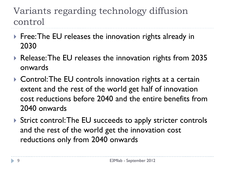Variants regarding technology diffusion control

- ▶ Free: The EU releases the innovation rights already in 2030
- ▶ Release: The EU releases the innovation rights from 2035 onwards
- ▶ Control: The EU controls innovation rights at a certain extent and the rest of the world get half of innovation cost reductions before 2040 and the entire benefits from 2040 onwards
- ▶ Strict control: The EU succeeds to apply stricter controls and the rest of the world get the innovation cost reductions only from 2040 onwards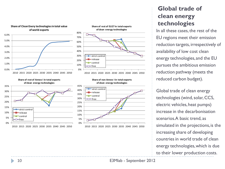







2010 2015 2020 2025 2030 2035 2040 2045 2050

#### **Global trade of clean energy technologies**

In all these cases, the rest of the EU regions meet their emission reduction targets, irrespectively of availability of low cost clean energy technologies, and the EU pursues the ambitious emission reduction pathway (meets the reduced carbon budget).

Global trade of clean energy technologies (wind, solar, CCS, electric vehicles, heat pumps) increase in the decarbonisation scenarios. A basic trend, as simulated in the projections, is the increasing share of developing countries in world trade of clean energy technologies, which is due to their lower production costs.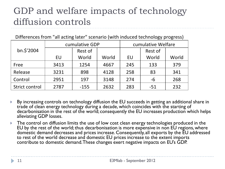## GDP and welfare impacts of technology diffusion controls

Differences from "all acting later" scenario (with induced technology progress)

|                |      | cumulative GDP |       | cumulative Welfare |         |       |  |
|----------------|------|----------------|-------|--------------------|---------|-------|--|
| bn.\$'2004     |      | Rest of        |       |                    | Rest of |       |  |
|                | EU   | World          | World | EU                 | World   | World |  |
| Free           | 3413 | 1254           | 4667  | 245                | 133     | 379   |  |
| Release        | 3231 | 898            | 4128  | 258                | 83      | 341   |  |
| Control        | 2951 | 197            | 3148  | 274                | -6      | 268   |  |
| Strict control | 2787 | $-155$         | 2632  | 283                | $-51$   | 232   |  |

- By increasing controls on technology diffusion the EU succeeds in getting an additional share in trade of clean energy technology during a decade, which coincides with the starting of decarbonisation in the rest of the world; consequently the EU increases production which helps alleviating GDP losses.
- **The control on diffusion limits the use of low cost clean energy technologies produced in the** EU by the rest of the world; thus decarbonisation is more expensive in non EU regions, where domestic demand decreases and prices increase. Consequently, all exports by the EU addressed to rest of the world decrease and domestic EU prices increase to the extent imports contribute to domestic demand. These changes exert negative impacts on EU's GDP.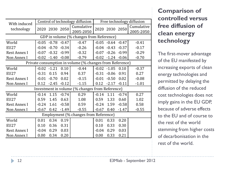| With induced                                             |         |                     |                                          | Control of technology diffusion | Free technology diffusion |                         |         |            |
|----------------------------------------------------------|---------|---------------------|------------------------------------------|---------------------------------|---------------------------|-------------------------|---------|------------|
|                                                          |         |                     |                                          | Cumulative                      |                           |                         |         | Cumulative |
| technology                                               |         | 2020 2030 2050      |                                          | 2005-2050                       |                           | 2020 2030 2050          |         | 2005-2050  |
|                                                          |         |                     | GDP in volume (% changes from Reference) |                                 |                           |                         |         |            |
| World                                                    |         | $-0.05 -0.78 -0.47$ |                                          | $-0.47$                         |                           | $-0.05$ $-0.64$ $-0.47$ |         | $-0.41$    |
| <b>EU27</b>                                              | $-0.04$ | $-0.70$             | $-0.34$                                  | $-0.26$                         | $-0.04$                   | $-0.43$                 | $-0.37$ | $-0.17$    |
| <b>Rest Annex I</b>                                      | $-0.07$ | $-0.32$             | $-0.99$                                  | $-0.32$                         |                           | $-0.07 -0.26 -0.99$     |         | $-0.29$    |
| Non Annex I                                              | $-0.02$ | $-1.40$             | $-0.08$                                  | $-0.79$                         |                           | $-0.02$ $-1.24$ $-0.06$ |         | $-0.70$    |
| Private consumption in volume (% changes from Reference) |         |                     |                                          |                                 |                           |                         |         |            |
| World                                                    |         | $-0.02 -1.21$       | 0.10                                     | $-0.44$                         |                           | $-0.02 -1.05$           | 0.10    | $-0.37$    |
| <b>EU27</b>                                              | $-0.31$ | 0.15                | 0.94                                     | 0.37                            | $-0.31$                   | $-0.06$                 | 0.91    | 0.27       |
| <b>Rest Annex I</b>                                      | $-0.01$ | $-0.70$             | 0.02                                     | $-0.15$                         | $-0.01$                   | $-0.50$                 | 0.02    | $-0.08$    |
| Non Annex I                                              | 0.12    | $-2.45$             | $-0.12$                                  | $-1.15$                         | 0.12                      | $-2.17$                 | $-0.11$ | $-1.01$    |
| Investment in volume (% changes from Reference)          |         |                     |                                          |                                 |                           |                         |         |            |
| World                                                    | $-0.14$ | 1.15                | $-0.74$                                  | 0.29                            | $-0.14$                   | 1.11                    | $-0.74$ | 0.27       |
| <b>EU27</b>                                              | 0.59    | 1.45                | 0.63                                     | 1.08                            | 0.59                      | 1.33                    | 0.60    | 1.02       |
| <b>Rest Annex I</b>                                      | $-0.24$ | 1.61                | $-0.58$                                  | 0.59                            | $-0.24$                   | 1.59                    | $-0.58$ | 0.58       |
| Non Annex I                                              | $-0.67$ | 0.42                | $-1.49$                                  | $-0.55$                         | $-0.67$                   | 0.40                    | $-1.47$ | $-0.55$    |
| Employment (% changes from Reference)                    |         |                     |                                          |                                 |                           |                         |         |            |
| World                                                    | 0.01    | 0.34                | 0.19                                     |                                 | 0.01                      | 0.33                    | 0.20    |            |
| <b>EU27</b>                                              | 0.10    | 0.36                | 0.31                                     |                                 | 0.10                      | 0.33                    | 0.30    |            |
| <b>Rest Annex I</b>                                      | $-0.04$ | 0.29                | 0.03                                     |                                 | $-0.04$                   | 0.29                    | 0.03    |            |
| Non Annex I                                              | 0.00    | 0.34                | 0.20                                     |                                 | 0.00                      | 0.33                    | 0.21    |            |

**Comparison of controlled versus free diffusion of clean energy technology**

The first -mover advantage of the EU manifested by increasing exports of clean energy technologies and permitted by delaying the diffusion of the reduced cost technologies does not imply gains in the EU GDP, because of adverse effects to the EU and of course to the rest of the world stemming from higher costs of decarbonisation in the rest of the world.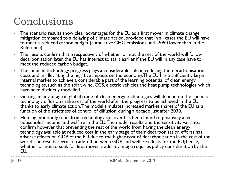# Conclusions

- **The scenario results show clear advantages for the EU as a first mover in climate change** mitigation compared to a delaying of climate action, provided that in all cases the EU will have to meet a reduced carbon budget (cumulative GHG emissions until 2050 lower than in the Reference).
- **The results confirm that irrespectively of whether or not the rest of the world will follow** decarbonisation later, the EU has interest to start earlier if the EU will in any case have to meet the reduced carbon budget.
- The induced technology progress plays a considerable role in reducing the decarbonisation costs and in alleviating the negative impacts on the economy. The EU has a sufficiently large internal market to achieve a considerable part of the learning potential of clean energy technologies, such as the solar, wind, CCS, electric vehicles and heat pump technologies, which have been distinctly modelled.
- Getting an advantage in global trade of clean energy technologies will depend on the speed of technology diffusion in the rest of the world after the progress to be achieved in the EU thanks to early climate action. The model simulates increased market shares of the EU as a function of the strictness of control of diffusion, during a decade just after 2030.
- ▶ Holding monopoly rents from technology spillover has been found to positively affect households' income and welfare in the EU. The model results, and the sensitivity variants, confirm however that preventing the rest of the world from having the clean energy technology available at reduced cost in the early stage of their decarbonisation efforts has adverse effects on GDP of the EU due to the higher cost of decarbonisation in the rest of the world. The results reveal a trade-off between GDP and welfare effects for the EU; hence, whether or not to seek for first mover trade advantage requires policy consideration by the EU.